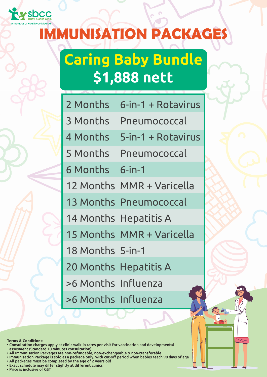

#### **IMMUNISATION PACKAGES**

### **Caring Baby Bundle \$1,888 nett**

| 2 Months            | 6-in-1 + Rotavirus |
|---------------------|--------------------|
| 3 Months            | Pneumococcal       |
| 4 Months            | 5-in-1 + Rotavirus |
| 5 Months            | Pneumococcal       |
| 6 Months            | $6$ -in-1          |
| 12 Months           | MMR + Varicella    |
| 13 Months           | Pneumococcal       |
| <b>14 Months</b>    | <b>Hepatitis A</b> |
| 15 Months           | MMR + Varicella    |
| <b>18 Months</b>    | $5$ -in-1          |
| 20 Months           | <b>Hepatitis A</b> |
| >6 Months           | Influenza          |
| >6 Months Influenza |                    |

**Terms & Conditions:**

- Consultation charges apply at clinic walk-in rates per visit for vaccination and developmental • assesment (Standard 10 minutes consultation)
- All Immunisation Packages are non-refundable, non-exchangeable & non-transferable
- Immunisation Package is sold as a package only, with cut-off period when babies reach 90 days of age
- All packages must be completed by the age of 2 years old
- Exact schedule may differ slightly at different clinics • Price is inclusive of GST